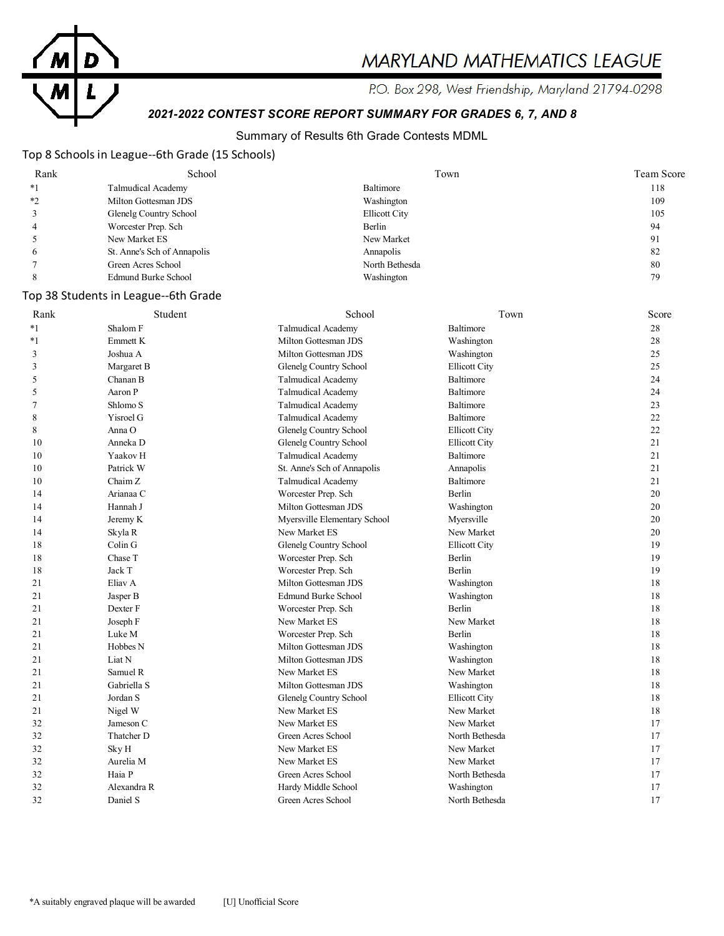

# MARYLAND MATHEMATICS LEAGUE

P.O. Box 298, West Friendship, Maryland 21794-0298

# *2021-2022 CONTEST SCORE REPORT SUMMARY FOR GRADES 6, 7, AND 8*

### Summary of Results 6th Grade Contests MDML

## Top 8 Schools in League--6th Grade (15 Schools)

| Rank         | School                      | Town                 | Team Score |
|--------------|-----------------------------|----------------------|------------|
| $*1$         | Talmudical Academy          | Baltimore            | 118        |
| $*2$         | Milton Gottesman JDS        | Washington           | 109        |
|              | Glenelg Country School      | <b>Ellicott City</b> | 105        |
|              | Worcester Prep. Sch         | Berlin               | 94         |
|              | New Market ES               | New Market           | 91         |
| <sub>(</sub> | St. Anne's Sch of Annapolis | Annapolis            | 82         |
|              | Green Acres School          | North Bethesda       | 80         |
|              | Edmund Burke School         | Washington           | 79         |

#### Top 38 Students in League--6th Grade

| Rank    | Student     | School                       | Town                 | Score |
|---------|-------------|------------------------------|----------------------|-------|
| $*_{1}$ | Shalom F    | <b>Talmudical Academy</b>    | Baltimore            | 28    |
| $*1$    | Emmett K    | Milton Gottesman JDS         | Washington           | 28    |
| 3       | Joshua A    | Milton Gottesman JDS         | Washington           | 25    |
| 3       | Margaret B  | Glenelg Country School       | <b>Ellicott City</b> | 25    |
| 5       | Chanan B    | <b>Talmudical Academy</b>    | Baltimore            | 24    |
| 5       | Aaron P     | <b>Talmudical Academy</b>    | <b>Baltimore</b>     | 24    |
| 7       | Shlomo S    | <b>Talmudical Academy</b>    | Baltimore            | 23    |
| 8       | Yisroel G   | <b>Talmudical Academy</b>    | Baltimore            | 22    |
| 8       | Anna O      | Glenelg Country School       | <b>Ellicott City</b> | 22    |
| 10      | Anneka D    | Glenelg Country School       | <b>Ellicott City</b> | 21    |
| 10      | Yaakov H    | <b>Talmudical Academy</b>    | Baltimore            | 21    |
| 10      | Patrick W   | St. Anne's Sch of Annapolis  | Annapolis            | 21    |
| 10      | Chaim Z     | <b>Talmudical Academy</b>    | Baltimore            | 21    |
| 14      | Arianaa C   | Worcester Prep. Sch          | Berlin               | 20    |
| 14      | Hannah J    | Milton Gottesman JDS         | Washington           | 20    |
| 14      | Jeremy K    | Myersville Elementary School | Myersville           | 20    |
| 14      | Skyla R     | New Market ES                | New Market           | 20    |
| 18      | Colin G     | Glenelg Country School       | <b>Ellicott City</b> | 19    |
| 18      | Chase T     | Worcester Prep. Sch          | Berlin               | 19    |
| 18      | Jack T      | Worcester Prep. Sch          | Berlin               | 19    |
| 21      | Eliav A     | Milton Gottesman JDS         | Washington           | 18    |
| 21      | Jasper B    | <b>Edmund Burke School</b>   | Washington           | 18    |
| 21      | Dexter F    | Worcester Prep. Sch          | Berlin               | 18    |
| 21      | Joseph F    | New Market ES                | New Market           | 18    |
| 21      | Luke M      | Worcester Prep. Sch          | Berlin               | 18    |
| 21      | Hobbes N    | Milton Gottesman JDS         | Washington           | 18    |
| 21      | Liat N      | Milton Gottesman JDS         | Washington           | 18    |
| 21      | Samuel R    | New Market ES                | New Market           | 18    |
| 21      | Gabriella S | Milton Gottesman JDS         | Washington           | 18    |
| 21      | Jordan S    | Glenelg Country School       | <b>Ellicott City</b> | 18    |
| 21      | Nigel W     | New Market ES                | New Market           | 18    |
| 32      | Jameson C   | New Market ES                | New Market           | 17    |
| 32      | Thatcher D  | Green Acres School           | North Bethesda       | 17    |
| 32      | Sky H       | New Market ES                | New Market           | 17    |
| 32      | Aurelia M   | New Market ES                | New Market           | 17    |
| 32      | Haia P      | Green Acres School           | North Bethesda       | 17    |
| 32      | Alexandra R | Hardy Middle School          | Washington           | 17    |
| 32      | Daniel S    | Green Acres School           | North Bethesda       | 17    |
|         |             |                              |                      |       |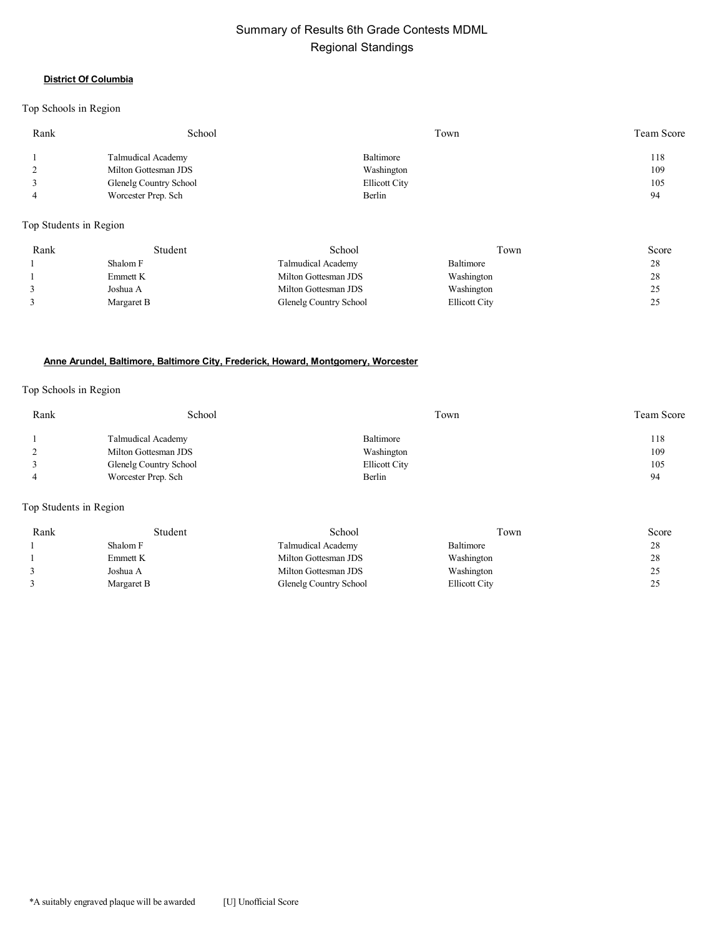# Summary of Results 6th Grade Contests MDML Regional Standings

#### **District Of Columbia**

#### Top Schools in Region

| Rank | School                 | Town                 | Team Score |
|------|------------------------|----------------------|------------|
|      | Talmudical Academy     | Baltimore            | 118        |
|      | Milton Gottesman JDS   | Washington           | 109        |
|      | Glenelg Country School | <b>Ellicott City</b> | 105        |
|      | Worcester Prep. Sch    | Berlin               | 94         |
|      |                        |                      |            |

#### Top Students in Region

| Rank | Student    | School                 | Town          | Score |
|------|------------|------------------------|---------------|-------|
|      | Shalom F   | Talmudical Academy     | Baltimore     | 28    |
|      | Emmett K   | Milton Gottesman JDS   | Washington    | 28    |
|      | Joshua A   | Milton Gottesman JDS   | Washington    | ت ک   |
|      | Margaret B | Glenelg Country School | Ellicott City | ت ک   |

#### **Anne Arundel, Baltimore, Baltimore City, Frederick, Howard, Montgomery, Worcester**

#### Top Schools in Region

| Rank | School                 | Town                 | Team Score |
|------|------------------------|----------------------|------------|
|      | Talmudical Academy     | Baltimore            | 118        |
|      | Milton Gottesman JDS   | Washington           | 109        |
|      | Glenelg Country School | <b>Ellicott City</b> | 105        |
|      | Worcester Prep. Sch    | Berlin               | 94         |

#### Top Students in Region

| Rank | Student    | School                 | Town                 | Score |
|------|------------|------------------------|----------------------|-------|
|      | Shalom F   | Talmudical Academy     | Baltimore            | 28    |
|      | Emmett K   | Milton Gottesman JDS   | Washington           | 28    |
|      | Joshua A   | Milton Gottesman JDS   | Washington           | 25    |
|      | Margaret B | Glenelg Country School | <b>Ellicott City</b> | 25    |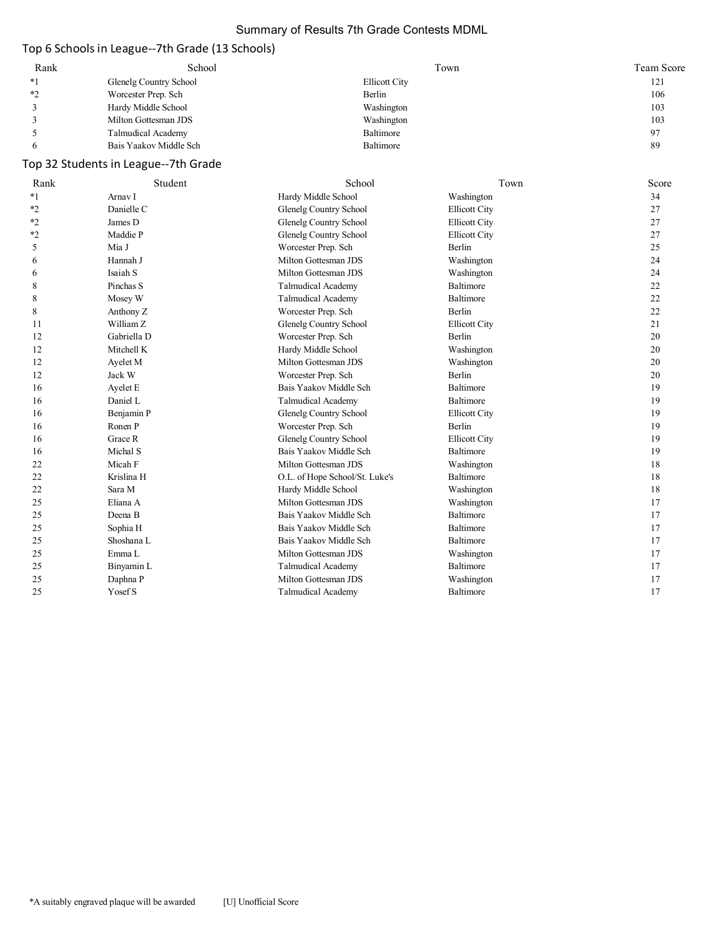#### Summary of Results 7th Grade Contests MDML

# Top 6 Schools in League--7th Grade (13 Schools)

| Rank | School                 | Town          | Team Score     |
|------|------------------------|---------------|----------------|
| $*1$ | Glenelg Country School | Ellicott City | 121            |
| ∗າ   | Worcester Prep. Sch    | Berlin        | 106            |
|      | Hardy Middle School    | Washington    | 103            |
|      | Milton Gottesman JDS   | Washington    | 103            |
|      | Talmudical Academy     | Baltimore     | Q <sub>7</sub> |
|      | Bais Yaakov Middle Sch | Baltimore     | 89             |

# Top 32 Students in League--7th Grade

| Rank    | Student     | School                         | Town                 | Score |
|---------|-------------|--------------------------------|----------------------|-------|
| $*1$    | Arnav I     | Hardy Middle School            | Washington           | 34    |
| $*_{2}$ | Danielle C  | <b>Glenelg Country School</b>  | <b>Ellicott City</b> | 27    |
| $*_{2}$ | James D     | Glenelg Country School         | <b>Ellicott City</b> | 27    |
| $*_{2}$ | Maddie P    | <b>Glenelg Country School</b>  | <b>Ellicott City</b> | 27    |
| 5       | Mia J       | Worcester Prep. Sch            | Berlin               | 25    |
| 6       | Hannah J    | Milton Gottesman JDS           | Washington           | 24    |
| 6       | Isaiah S    | Milton Gottesman JDS           | Washington           | 24    |
| 8       | Pinchas S   | <b>Talmudical Academy</b>      | Baltimore            | 22    |
| 8       | Mosey W     | <b>Talmudical Academy</b>      | Baltimore            | 22    |
| 8       | Anthony Z   | Worcester Prep. Sch            | Berlin               | 22    |
| 11      | William Z   | Glenelg Country School         | <b>Ellicott City</b> | 21    |
| 12      | Gabriella D | Worcester Prep. Sch            | Berlin               | 20    |
| 12      | Mitchell K  | Hardy Middle School            | Washington           | 20    |
| 12      | Ayelet M    | Milton Gottesman JDS           | Washington           | 20    |
| 12      | Jack W      | Worcester Prep. Sch            | Berlin               | 20    |
| 16      | Ayelet E    | Bais Yaakov Middle Sch         | Baltimore            | 19    |
| 16      | Daniel L    | <b>Talmudical Academy</b>      | Baltimore            | 19    |
| 16      | Benjamin P  | <b>Glenelg Country School</b>  | <b>Ellicott City</b> | 19    |
| 16      | Ronen P     | Worcester Prep. Sch            | Berlin               | 19    |
| 16      | Grace R     | Glenelg Country School         | <b>Ellicott City</b> | 19    |
| 16      | Michal S    | Bais Yaakov Middle Sch         | Baltimore            | 19    |
| 22      | Micah F     | Milton Gottesman JDS           | Washington           | 18    |
| 22      | Krislina H  | O.L. of Hope School/St. Luke's | Baltimore            | 18    |
| 22      | Sara M      | Hardy Middle School            | Washington           | 18    |
| 25      | Eliana A    | Milton Gottesman JDS           | Washington           | 17    |
| 25      | Deena B     | Bais Yaakov Middle Sch         | <b>Baltimore</b>     | 17    |
| 25      | Sophia H    | Bais Yaakov Middle Sch         | Baltimore            | 17    |
| 25      | Shoshana L  | Bais Yaakov Middle Sch         | Baltimore            | 17    |
| 25      | Emma L      | Milton Gottesman JDS           | Washington           | 17    |
| 25      | Binyamin L  | <b>Talmudical Academy</b>      | Baltimore            | 17    |
| 25      | Daphna P    | Milton Gottesman JDS           | Washington           | 17    |
| 25      | Yosef S     | Talmudical Academy             | Baltimore            | 17    |
|         |             |                                |                      |       |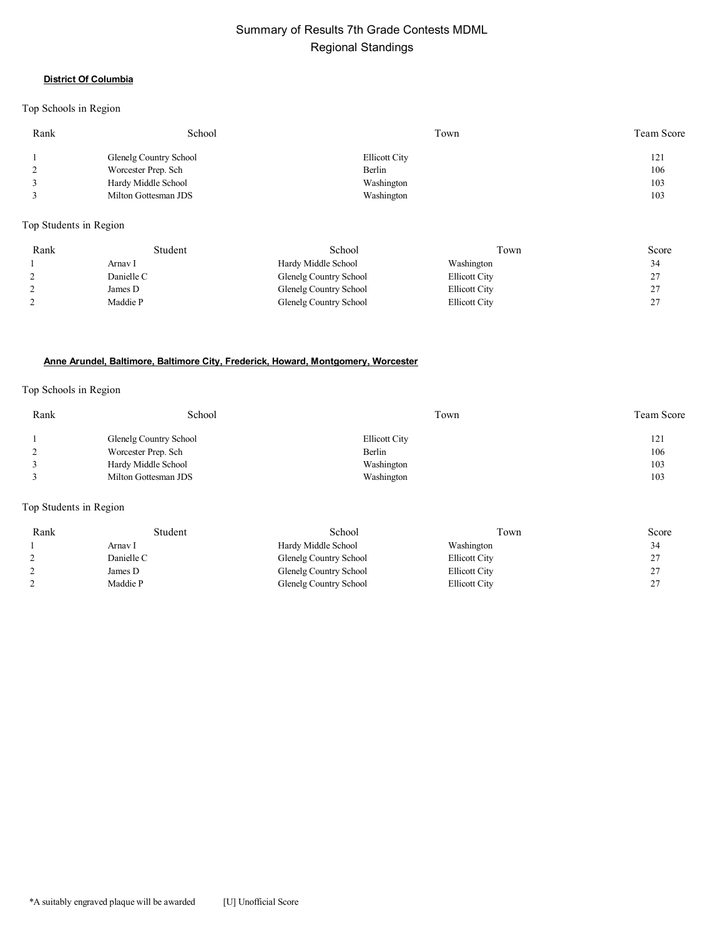# Summary of Results 7th Grade Contests MDML Regional Standings

#### **District Of Columbia**

#### Top Schools in Region

| Rank | School                 | Town                 | Team Score |
|------|------------------------|----------------------|------------|
|      | Glenelg Country School | <b>Ellicott City</b> | 121        |
|      | Worcester Prep. Sch    | Berlin               | 106        |
|      | Hardy Middle School    | Washington           | 103        |
|      | Milton Gottesman JDS   | Washington           | 103        |

Top Students in Region

| Rank | Student    | School                 | Town                 | Score       |
|------|------------|------------------------|----------------------|-------------|
|      | Arnav 1    | Hardy Middle School    | Washington           | 34          |
|      | Danielle C | Glenelg Country School | <b>Ellicott City</b> | ົ           |
|      | James D    | Glenelg Country School | <b>Ellicott City</b> | ົ<br>∼      |
|      | Maddie P   | Glenelg Country School | <b>Ellicott City</b> | $\sim$<br>∼ |

#### **Anne Arundel, Baltimore, Baltimore City, Frederick, Howard, Montgomery, Worcester**

#### Top Schools in Region

| Rank | School                 | Town                 | <b>Team Score</b> |
|------|------------------------|----------------------|-------------------|
|      | Glenelg Country School | <b>Ellicott City</b> | 121               |
|      | Worcester Prep. Sch    | Berlin               | 106               |
|      | Hardy Middle School    | Washington           | 103               |
|      | Milton Gottesman JDS   | Washington           | 103               |

#### Top Students in Region

| Rank | Student    | School                 | Town                 | Score              |
|------|------------|------------------------|----------------------|--------------------|
|      | Arnav I    | Hardy Middle School    | Washington           | 34                 |
|      | Danielle C | Glenelg Country School | <b>Ellicott City</b> | 27<br><u>.</u>     |
|      | James D    | Glenelg Country School | <b>Ellicott City</b> | 27<br><u>، ، ،</u> |
|      | Maddie P   | Glenelg Country School | <b>Ellicott City</b> | 27<br><u>.</u>     |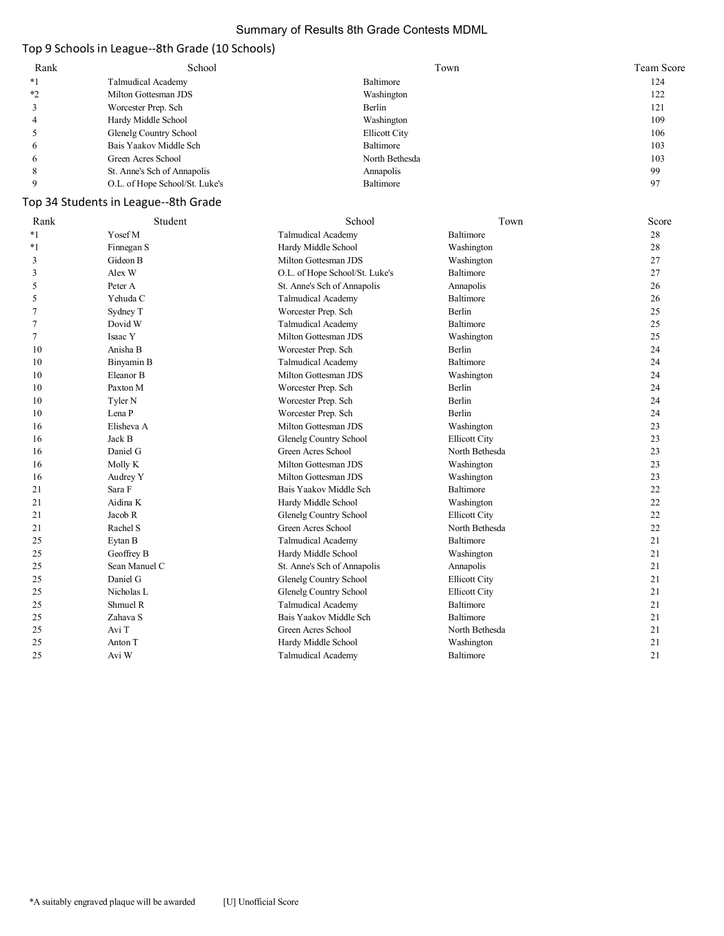#### Summary of Results 8th Grade Contests MDML

# Top 9 Schools in League--8th Grade (10 Schools)

| Rank | School                         | Town           | Team Score |
|------|--------------------------------|----------------|------------|
| $*1$ | Talmudical Academy             | Baltimore      | 124        |
| $*2$ | Milton Gottesman JDS           | Washington     | 122        |
|      | Worcester Prep. Sch            | Berlin         | 121        |
|      | Hardy Middle School            | Washington     | 109        |
|      | Glenelg Country School         | Ellicott City  | 106        |
| 6    | Bais Yaakov Middle Sch         | Baltimore      | 103        |
| 6    | Green Acres School             | North Bethesda | 103        |
| 8    | St. Anne's Sch of Annapolis    | Annapolis      | 99         |
|      | O.L. of Hope School/St. Luke's | Baltimore      | 97         |

# Top 34 Students in League--8th Grade

| Rank    | Student       | School                         | Town                 | Score |
|---------|---------------|--------------------------------|----------------------|-------|
| $*_{1}$ | Yosef M       | <b>Talmudical Academy</b>      | Baltimore            | 28    |
| $*_{1}$ | Finnegan S    | Hardy Middle School            | Washington           | 28    |
| 3       | Gideon B      | Milton Gottesman JDS           | Washington           | 27    |
| 3       | Alex W        | O.L. of Hope School/St. Luke's | Baltimore            | 27    |
| 5       | Peter A       | St. Anne's Sch of Annapolis    | Annapolis            | 26    |
| 5       | Yehuda C      | Talmudical Academy             | Baltimore            | 26    |
| 7       | Sydney T      | Worcester Prep. Sch            | Berlin               | 25    |
| 7       | Dovid W       | Talmudical Academy             | Baltimore            | 25    |
| $\tau$  | Isaac Y       | Milton Gottesman JDS           | Washington           | 25    |
| 10      | Anisha B      | Worcester Prep. Sch            | Berlin               | 24    |
| 10      | Binyamin B    | <b>Talmudical Academy</b>      | Baltimore            | 24    |
| 10      | Eleanor B     | Milton Gottesman JDS           | Washington           | 24    |
| 10      | Paxton M      | Worcester Prep. Sch            | Berlin               | 24    |
| 10      | Tyler N       | Worcester Prep. Sch            | <b>Berlin</b>        | 24    |
| 10      | Lena P        | Worcester Prep. Sch            | Berlin               | 24    |
| 16      | Elisheva A    | Milton Gottesman JDS           | Washington           | 23    |
| 16      | Jack B        | Glenelg Country School         | <b>Ellicott City</b> | 23    |
| 16      | Daniel G      | Green Acres School             | North Bethesda       | 23    |
| 16      | Molly K       | Milton Gottesman JDS           | Washington           | 23    |
| 16      | Audrey Y      | Milton Gottesman JDS           | Washington           | 23    |
| 21      | Sara F        | Bais Yaakov Middle Sch         | Baltimore            | 22    |
| 21      | Aidina K      | Hardy Middle School            | Washington           | 22    |
| 21      | Jacob R       | Glenelg Country School         | <b>Ellicott City</b> | 22    |
| 21      | Rachel S      | Green Acres School             | North Bethesda       | 22    |
| 25      | Eytan B       | <b>Talmudical Academy</b>      | Baltimore            | 21    |
| 25      | Geoffrey B    | Hardy Middle School            | Washington           | 21    |
| 25      | Sean Manuel C | St. Anne's Sch of Annapolis    | Annapolis            | 21    |
| 25      | Daniel G      | Glenelg Country School         | <b>Ellicott City</b> | 21    |
| 25      | Nicholas L    | Glenelg Country School         | <b>Ellicott City</b> | 21    |
| 25      | Shmuel R      | <b>Talmudical Academy</b>      | Baltimore            | 21    |
| 25      | Zahava S      | Bais Yaakov Middle Sch         | Baltimore            | 21    |
| 25      | Avi T         | Green Acres School             | North Bethesda       | 21    |
| 25      | Anton T       | Hardy Middle School            | Washington           | 21    |
| 25      | Avi W         | <b>Talmudical Academy</b>      | Baltimore            | 21    |
|         |               |                                |                      |       |